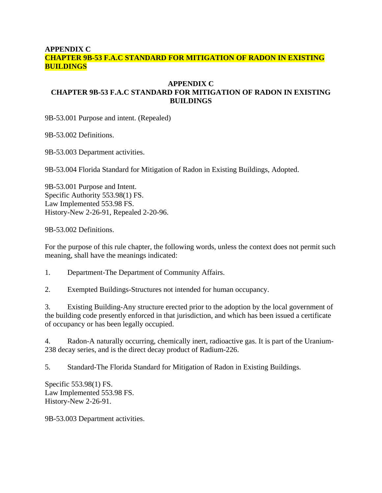#### **APPENDIX C CHAPTER 9B-53 F.A.C STANDARD FOR MITIGATION OF RADON IN EXISTING BUILDINGS**

## **APPENDIX C CHAPTER 9B-53 F.A.C STANDARD FOR MITIGATION OF RADON IN EXISTING BUILDINGS**

9B-53.001 Purpose and intent. (Repealed)

9B-53.002 Definitions.

9B-53.003 Department activities.

9B-53.004 Florida Standard for Mitigation of Radon in Existing Buildings, Adopted.

9B-53.001 Purpose and Intent. Specific Authority 553.98(1) FS. Law Implemented 553.98 FS. History-New 2-26-91, Repealed 2-20-96.

9B-53.002 Definitions.

For the purpose of this rule chapter, the following words, unless the context does not permit such meaning, shall have the meanings indicated:

1. Department-The Department of Community Affairs.

2. Exempted Buildings-Structures not intended for human occupancy.

3. Existing Building-Any structure erected prior to the adoption by the local government of the building code presently enforced in that jurisdiction, and which has been issued a certificate of occupancy or has been legally occupied.

4. Radon-A naturally occurring, chemically inert, radioactive gas. It is part of the Uranium-238 decay series, and is the direct decay product of Radium-226.

5. Standard-The Florida Standard for Mitigation of Radon in Existing Buildings.

Specific 553.98(1) FS. Law Implemented 553.98 FS. History-New 2-26-91.

9B-53.003 Department activities.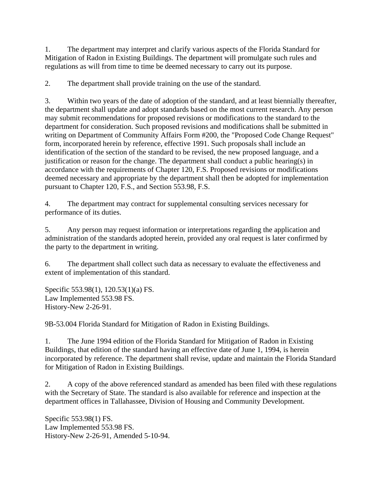1. The department may interpret and clarify various aspects of the Florida Standard for Mitigation of Radon in Existing Buildings. The department will promulgate such rules and regulations as will from time to time be deemed necessary to carry out its purpose.

2. The department shall provide training on the use of the standard.

3. Within two years of the date of adoption of the standard, and at least biennially thereafter, the department shall update and adopt standards based on the most current research. Any person may submit recommendations for proposed revisions or modifications to the standard to the department for consideration. Such proposed revisions and modifications shall be submitted in writing on Department of Community Affairs Form #200, the "Proposed Code Change Request" form, incorporated herein by reference, effective 1991. Such proposals shall include an identification of the section of the standard to be revised, the new proposed language, and a justification or reason for the change. The department shall conduct a public hearing(s) in accordance with the requirements of Chapter 120, F.S. Proposed revisions or modifications deemed necessary and appropriate by the department shall then be adopted for implementation pursuant to Chapter 120, F.S., and Section 553.98, F.S.

4. The department may contract for supplemental consulting services necessary for performance of its duties.

5. Any person may request information or interpretations regarding the application and administration of the standards adopted herein, provided any oral request is later confirmed by the party to the department in writing.

6. The department shall collect such data as necessary to evaluate the effectiveness and extent of implementation of this standard.

Specific 553.98(1), 120.53(1)(a) FS. Law Implemented 553.98 FS. History-New 2-26-91.

9B-53.004 Florida Standard for Mitigation of Radon in Existing Buildings.

1. The June 1994 edition of the Florida Standard for Mitigation of Radon in Existing Buildings, that edition of the standard having an effective date of June 1, 1994, is herein incorporated by reference. The department shall revise, update and maintain the Florida Standard for Mitigation of Radon in Existing Buildings.

2. A copy of the above referenced standard as amended has been filed with these regulations with the Secretary of State. The standard is also available for reference and inspection at the department offices in Tallahassee, Division of Housing and Community Development.

Specific 553.98(1) FS. Law Implemented 553.98 FS. History-New 2-26-91, Amended 5-10-94.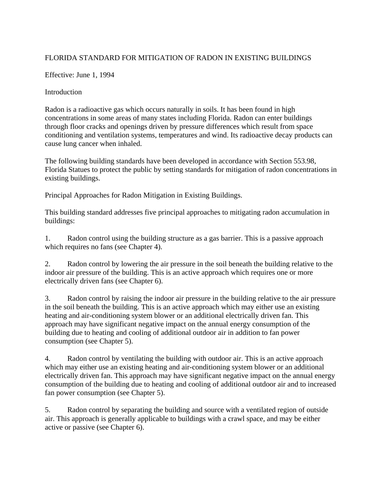# FLORIDA STANDARD FOR MITIGATION OF RADON IN EXISTING BUILDINGS

Effective: June 1, 1994

Introduction

Radon is a radioactive gas which occurs naturally in soils. It has been found in high concentrations in some areas of many states including Florida. Radon can enter buildings through floor cracks and openings driven by pressure differences which result from space conditioning and ventilation systems, temperatures and wind. Its radioactive decay products can cause lung cancer when inhaled.

The following building standards have been developed in accordance with Section 553.98, Florida Statues to protect the public by setting standards for mitigation of radon concentrations in existing buildings.

Principal Approaches for Radon Mitigation in Existing Buildings.

This building standard addresses five principal approaches to mitigating radon accumulation in buildings:

1. Radon control using the building structure as a gas barrier. This is a passive approach which requires no fans (see Chapter 4).

2. Radon control by lowering the air pressure in the soil beneath the building relative to the indoor air pressure of the building. This is an active approach which requires one or more electrically driven fans (see Chapter 6).

3. Radon control by raising the indoor air pressure in the building relative to the air pressure in the soil beneath the building. This is an active approach which may either use an existing heating and air-conditioning system blower or an additional electrically driven fan. This approach may have significant negative impact on the annual energy consumption of the building due to heating and cooling of additional outdoor air in addition to fan power consumption (see Chapter 5).

4. Radon control by ventilating the building with outdoor air. This is an active approach which may either use an existing heating and air-conditioning system blower or an additional electrically driven fan. This approach may have significant negative impact on the annual energy consumption of the building due to heating and cooling of additional outdoor air and to increased fan power consumption (see Chapter 5).

5. Radon control by separating the building and source with a ventilated region of outside air. This approach is generally applicable to buildings with a crawl space, and may be either active or passive (see Chapter 6).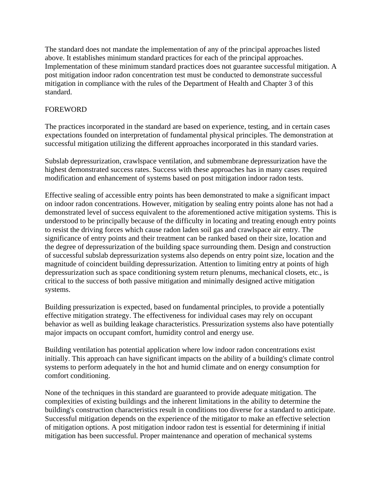The standard does not mandate the implementation of any of the principal approaches listed above. It establishes minimum standard practices for each of the principal approaches. Implementation of these minimum standard practices does not guarantee successful mitigation. A post mitigation indoor radon concentration test must be conducted to demonstrate successful mitigation in compliance with the rules of the Department of Health and Chapter 3 of this standard.

## FOREWORD

The practices incorporated in the standard are based on experience, testing, and in certain cases expectations founded on interpretation of fundamental physical principles. The demonstration at successful mitigation utilizing the different approaches incorporated in this standard varies.

Subslab depressurization, crawlspace ventilation, and submembrane depressurization have the highest demonstrated success rates. Success with these approaches has in many cases required modification and enhancement of systems based on post mitigation indoor radon tests.

Effective sealing of accessible entry points has been demonstrated to make a significant impact on indoor radon concentrations. However, mitigation by sealing entry points alone has not had a demonstrated level of success equivalent to the aforementioned active mitigation systems. This is understood to be principally because of the difficulty in locating and treating enough entry points to resist the driving forces which cause radon laden soil gas and crawlspace air entry. The significance of entry points and their treatment can be ranked based on their size, location and the degree of depressurization of the building space surrounding them. Design and construction of successful subslab depressurization systems also depends on entry point size, location and the magnitude of coincident building depressurization. Attention to limiting entry at points of high depressurization such as space conditioning system return plenums, mechanical closets, etc., is critical to the success of both passive mitigation and minimally designed active mitigation systems.

Building pressurization is expected, based on fundamental principles, to provide a potentially effective mitigation strategy. The effectiveness for individual cases may rely on occupant behavior as well as building leakage characteristics. Pressurization systems also have potentially major impacts on occupant comfort, humidity control and energy use.

Building ventilation has potential application where low indoor radon concentrations exist initially. This approach can have significant impacts on the ability of a building's climate control systems to perform adequately in the hot and humid climate and on energy consumption for comfort conditioning.

None of the techniques in this standard are guaranteed to provide adequate mitigation. The complexities of existing buildings and the inherent limitations in the ability to determine the building's construction characteristics result in conditions too diverse for a standard to anticipate. Successful mitigation depends on the experience of the mitigator to make an effective selection of mitigation options. A post mitigation indoor radon test is essential for determining if initial mitigation has been successful. Proper maintenance and operation of mechanical systems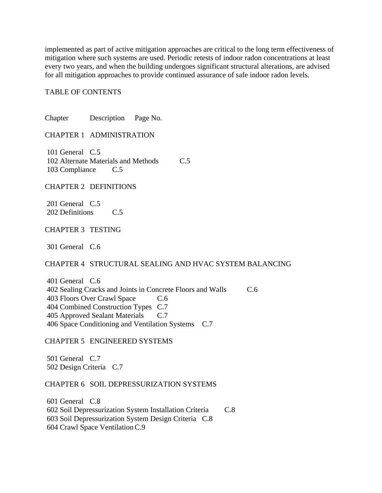implemented as part of active mitigation approaches are critical to the long term effectiveness of mitigation where such systems are used. Periodic retests of indoor radon concentrations at least every two years, and when the building undergoes significant structural alterations, are advised for all mitigation approaches to provide continued assurance of safe indoor radon levels.

#### TABLE OF CONTENTS

Chapter Description Page No.

CHAPTER 1 ADMINISTRATION

 101 General C.5 102 Alternate Materials and Methods C.5 103 Compliance C.5

CHAPTER 2 DEFINITIONS

 201 General C.5 202 Definitions C.5

CHAPTER 3 TESTING

301 General C.6

CHAPTER 4 STRUCTURAL SEALING AND HVAC SYSTEM BALANCING

 401 General C.6 402 Sealing Cracks and Joints in Concrete Floors and Walls C.6 403 Floors Over Crawl Space C.6 404 Combined Construction Types C.7 405 Approved Sealant Materials C.7 406 Space Conditioning and Ventilation Systems C.7

CHAPTER 5 ENGINEERED SYSTEMS

 501 General C.7 502 Design Criteria C.7

CHAPTER 6 SOIL DEPRESSURIZATION SYSTEMS

 601 General C.8 602 Soil Depressurization System Installation Criteria C.8 603 Soil Depressurization System Design Criteria C.8 604 Crawl Space Ventilation C.9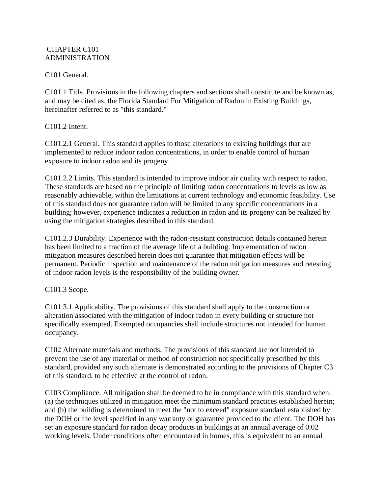#### CHAPTER C101 ADMINISTRATION

## C101 General.

C101.1 Title. Provisions in the following chapters and sections shall constitute and be known as, and may be cited as, the Florida Standard For Mitigation of Radon in Existing Buildings, hereinafter referred to as "this standard."

C101.2 Intent.

C101.2.1 General. This standard applies to those alterations to existing buildings that are implemented to reduce indoor radon concentrations, in order to enable control of human exposure to indoor radon and its progeny.

C101.2.2 Limits. This standard is intended to improve indoor air quality with respect to radon. These standards are based on the principle of limiting radon concentrations to levels as low as reasonably achievable, within the limitations at current technology and economic feasibility. Use of this standard does not guarantee radon will be limited to any specific concentrations in a building; however, experience indicates a reduction in radon and its progeny can be realized by using the mitigation strategies described in this standard.

C101.2.3 Durability. Experience with the radon-resistant construction details contained herein has been limited to a fraction of the average life of a building. Implementation of radon mitigation measures described herein does not guarantee that mitigation effects will be permanent. Periodic inspection and maintenance of the radon mitigation measures and retesting of indoor radon levels is the responsibility of the building owner.

## C101.3 Scope.

C101.3.1 Applicability. The provisions of this standard shall apply to the construction or alteration associated with the mitigation of indoor radon in every building or structure not specifically exempted. Exempted occupancies shall include structures not intended for human occupancy.

C102 Alternate materials and methods. The provisions of this standard are not intended to prevent the use of any material or method of construction not specifically prescribed by this standard, provided any such alternate is demonstrated according to the provisions of Chapter C3 of this standard, to be effective at the control of radon.

C103 Compliance. All mitigation shall be deemed to be in compliance with this standard when: (a) the techniques utilized in mitigation meet the minimum standard practices established herein; and (b) the building is determined to meet the "not to exceed" exposure standard established by the DOH or the level specified in any warranty or guarantee provided to the client. The DOH has set an exposure standard for radon decay products in buildings at an annual average of 0.02 working levels. Under conditions often encountered in homes, this is equivalent to an annual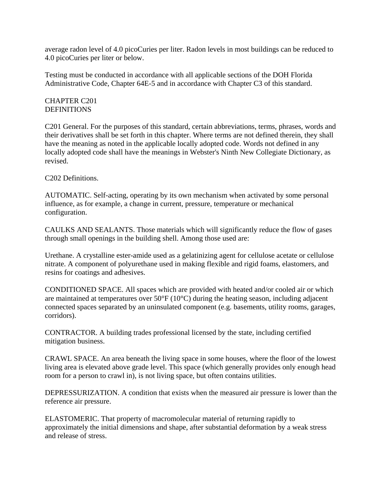average radon level of 4.0 picoCuries per liter. Radon levels in most buildings can be reduced to 4.0 picoCuries per liter or below.

Testing must be conducted in accordance with all applicable sections of the DOH Florida Administrative Code, Chapter 64E-5 and in accordance with Chapter C3 of this standard.

#### CHAPTER C201 **DEFINITIONS**

C201 General. For the purposes of this standard, certain abbreviations, terms, phrases, words and their derivatives shall be set forth in this chapter. Where terms are not defined therein, they shall have the meaning as noted in the applicable locally adopted code. Words not defined in any locally adopted code shall have the meanings in Webster's Ninth New Collegiate Dictionary, as revised.

C202 Definitions.

AUTOMATIC. Self-acting, operating by its own mechanism when activated by some personal influence, as for example, a change in current, pressure, temperature or mechanical configuration.

CAULKS AND SEALANTS. Those materials which will significantly reduce the flow of gases through small openings in the building shell. Among those used are:

Urethane. A crystalline ester-amide used as a gelatinizing agent for cellulose acetate or cellulose nitrate. A component of polyurethane used in making flexible and rigid foams, elastomers, and resins for coatings and adhesives.

CONDITIONED SPACE. All spaces which are provided with heated and/or cooled air or which are maintained at temperatures over 50°F (10°C) during the heating season, including adjacent connected spaces separated by an uninsulated component (e.g. basements, utility rooms, garages, corridors).

CONTRACTOR. A building trades professional licensed by the state, including certified mitigation business.

CRAWL SPACE. An area beneath the living space in some houses, where the floor of the lowest living area is elevated above grade level. This space (which generally provides only enough head room for a person to crawl in), is not living space, but often contains utilities.

DEPRESSURIZATION. A condition that exists when the measured air pressure is lower than the reference air pressure.

ELASTOMERIC. That property of macromolecular material of returning rapidly to approximately the initial dimensions and shape, after substantial deformation by a weak stress and release of stress.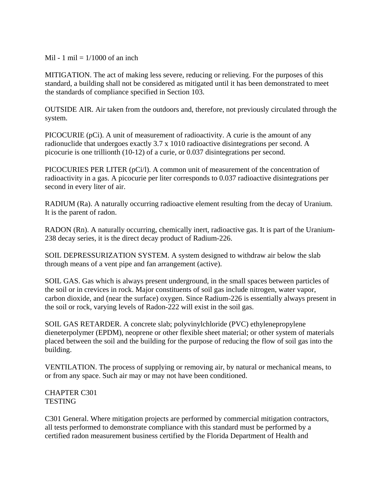Mil - 1 mil  $= 1/1000$  of an inch

MITIGATION. The act of making less severe, reducing or relieving. For the purposes of this standard, a building shall not be considered as mitigated until it has been demonstrated to meet the standards of compliance specified in Section 103.

OUTSIDE AIR. Air taken from the outdoors and, therefore, not previously circulated through the system.

PICOCURIE (pCi). A unit of measurement of radioactivity. A curie is the amount of any radionuclide that undergoes exactly 3.7 x 1010 radioactive disintegrations per second. A picocurie is one trillionth (10-12) of a curie, or 0.037 disintegrations per second.

PICOCURIES PER LITER (pCi/l). A common unit of measurement of the concentration of radioactivity in a gas. A picocurie per liter corresponds to 0.037 radioactive disintegrations per second in every liter of air.

RADIUM (Ra). A naturally occurring radioactive element resulting from the decay of Uranium. It is the parent of radon.

RADON (Rn). A naturally occurring, chemically inert, radioactive gas. It is part of the Uranium-238 decay series, it is the direct decay product of Radium-226.

SOIL DEPRESSURIZATION SYSTEM. A system designed to withdraw air below the slab through means of a vent pipe and fan arrangement (active).

SOIL GAS. Gas which is always present underground, in the small spaces between particles of the soil or in crevices in rock. Major constituents of soil gas include nitrogen, water vapor, carbon dioxide, and (near the surface) oxygen. Since Radium-226 is essentially always present in the soil or rock, varying levels of Radon-222 will exist in the soil gas.

SOIL GAS RETARDER. A concrete slab; polyvinylchloride (PVC) ethylenepropylene dieneterpolymer (EPDM), neoprene or other flexible sheet material; or other system of materials placed between the soil and the building for the purpose of reducing the flow of soil gas into the building.

VENTILATION. The process of supplying or removing air, by natural or mechanical means, to or from any space. Such air may or may not have been conditioned.

#### CHAPTER C301 **TESTING**

C301 General. Where mitigation projects are performed by commercial mitigation contractors, all tests performed to demonstrate compliance with this standard must be performed by a certified radon measurement business certified by the Florida Department of Health and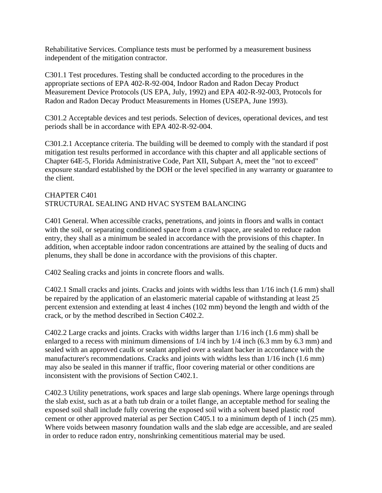Rehabilitative Services. Compliance tests must be performed by a measurement business independent of the mitigation contractor.

C301.1 Test procedures. Testing shall be conducted according to the procedures in the appropriate sections of EPA 402-R-92-004, Indoor Radon and Radon Decay Product Measurement Device Protocols (US EPA, July, 1992) and EPA 402-R-92-003, Protocols for Radon and Radon Decay Product Measurements in Homes (USEPA, June 1993).

C301.2 Acceptable devices and test periods. Selection of devices, operational devices, and test periods shall be in accordance with EPA 402-R-92-004.

C301.2.1 Acceptance criteria. The building will be deemed to comply with the standard if post mitigation test results performed in accordance with this chapter and all applicable sections of Chapter 64E-5, Florida Administrative Code, Part XII, Subpart A, meet the "not to exceed" exposure standard established by the DOH or the level specified in any warranty or guarantee to the client.

#### CHAPTER C401 STRUCTURAL SEALING AND HVAC SYSTEM BALANCING

C401 General. When accessible cracks, penetrations, and joints in floors and walls in contact with the soil, or separating conditioned space from a crawl space, are sealed to reduce radon entry, they shall as a minimum be sealed in accordance with the provisions of this chapter. In addition, when acceptable indoor radon concentrations are attained by the sealing of ducts and plenums, they shall be done in accordance with the provisions of this chapter.

C402 Sealing cracks and joints in concrete floors and walls.

C402.1 Small cracks and joints. Cracks and joints with widths less than 1/16 inch (1.6 mm) shall be repaired by the application of an elastomeric material capable of withstanding at least 25 percent extension and extending at least 4 inches (102 mm) beyond the length and width of the crack, or by the method described in Section C402.2.

C402.2 Large cracks and joints. Cracks with widths larger than 1/16 inch (1.6 mm) shall be enlarged to a recess with minimum dimensions of 1/4 inch by 1/4 inch (6.3 mm by 6.3 mm) and sealed with an approved caulk or sealant applied over a sealant backer in accordance with the manufacturer's recommendations. Cracks and joints with widths less than 1/16 inch (1.6 mm) may also be sealed in this manner if traffic, floor covering material or other conditions are inconsistent with the provisions of Section C402.1.

C402.3 Utility penetrations, work spaces and large slab openings. Where large openings through the slab exist, such as at a bath tub drain or a toilet flange, an acceptable method for sealing the exposed soil shall include fully covering the exposed soil with a solvent based plastic roof cement or other approved material as per Section C405.1 to a minimum depth of 1 inch (25 mm). Where voids between masonry foundation walls and the slab edge are accessible, and are sealed in order to reduce radon entry, nonshrinking cementitious material may be used.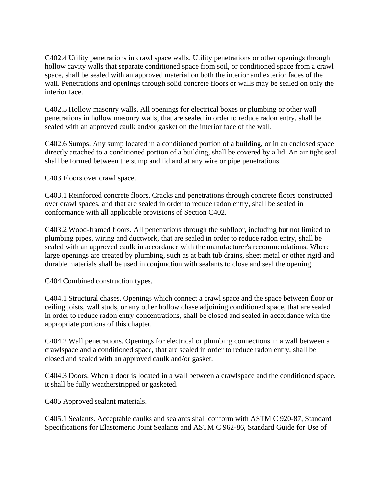C402.4 Utility penetrations in crawl space walls. Utility penetrations or other openings through hollow cavity walls that separate conditioned space from soil, or conditioned space from a crawl space, shall be sealed with an approved material on both the interior and exterior faces of the wall. Penetrations and openings through solid concrete floors or walls may be sealed on only the interior face.

C402.5 Hollow masonry walls. All openings for electrical boxes or plumbing or other wall penetrations in hollow masonry walls, that are sealed in order to reduce radon entry, shall be sealed with an approved caulk and/or gasket on the interior face of the wall.

C402.6 Sumps. Any sump located in a conditioned portion of a building, or in an enclosed space directly attached to a conditioned portion of a building, shall be covered by a lid. An air tight seal shall be formed between the sump and lid and at any wire or pipe penetrations.

C403 Floors over crawl space.

C403.1 Reinforced concrete floors. Cracks and penetrations through concrete floors constructed over crawl spaces, and that are sealed in order to reduce radon entry, shall be sealed in conformance with all applicable provisions of Section C402.

C403.2 Wood-framed floors. All penetrations through the subfloor, including but not limited to plumbing pipes, wiring and ductwork, that are sealed in order to reduce radon entry, shall be sealed with an approved caulk in accordance with the manufacturer's recommendations. Where large openings are created by plumbing, such as at bath tub drains, sheet metal or other rigid and durable materials shall be used in conjunction with sealants to close and seal the opening.

C404 Combined construction types.

C404.1 Structural chases. Openings which connect a crawl space and the space between floor or ceiling joists, wall studs, or any other hollow chase adjoining conditioned space, that are sealed in order to reduce radon entry concentrations, shall be closed and sealed in accordance with the appropriate portions of this chapter.

C404.2 Wall penetrations. Openings for electrical or plumbing connections in a wall between a crawlspace and a conditioned space, that are sealed in order to reduce radon entry, shall be closed and sealed with an approved caulk and/or gasket.

C404.3 Doors. When a door is located in a wall between a crawlspace and the conditioned space, it shall be fully weatherstripped or gasketed.

C405 Approved sealant materials.

C405.1 Sealants. Acceptable caulks and sealants shall conform with ASTM C 920-87, Standard Specifications for Elastomeric Joint Sealants and ASTM C 962-86, Standard Guide for Use of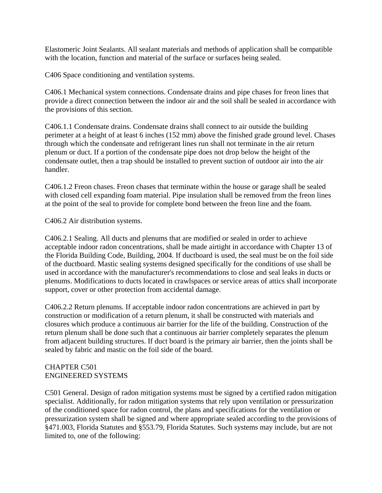Elastomeric Joint Sealants. All sealant materials and methods of application shall be compatible with the location, function and material of the surface or surfaces being sealed.

C406 Space conditioning and ventilation systems.

C406.1 Mechanical system connections. Condensate drains and pipe chases for freon lines that provide a direct connection between the indoor air and the soil shall be sealed in accordance with the provisions of this section.

C406.1.1 Condensate drains. Condensate drains shall connect to air outside the building perimeter at a height of at least 6 inches (152 mm) above the finished grade ground level. Chases through which the condensate and refrigerant lines run shall not terminate in the air return plenum or duct. If a portion of the condensate pipe does not drop below the height of the condensate outlet, then a trap should be installed to prevent suction of outdoor air into the air handler.

C406.1.2 Freon chases. Freon chases that terminate within the house or garage shall be sealed with closed cell expanding foam material. Pipe insulation shall be removed from the freon lines at the point of the seal to provide for complete bond between the freon line and the foam.

C406.2 Air distribution systems.

C406.2.1 Sealing. All ducts and plenums that are modified or sealed in order to achieve acceptable indoor radon concentrations, shall be made airtight in accordance with Chapter 13 of the Florida Building Code, Building, 2004. If ductboard is used, the seal must be on the foil side of the ductboard. Mastic sealing systems designed specifically for the conditions of use shall be used in accordance with the manufacturer's recommendations to close and seal leaks in ducts or plenums. Modifications to ducts located in crawlspaces or service areas of attics shall incorporate support, cover or other protection from accidental damage.

C406.2.2 Return plenums. If acceptable indoor radon concentrations are achieved in part by construction or modification of a return plenum, it shall be constructed with materials and closures which produce a continuous air barrier for the life of the building. Construction of the return plenum shall be done such that a continuous air barrier completely separates the plenum from adjacent building structures. If duct board is the primary air barrier, then the joints shall be sealed by fabric and mastic on the foil side of the board.

## CHAPTER C501 ENGINEERED SYSTEMS

C501 General. Design of radon mitigation systems must be signed by a certified radon mitigation specialist. Additionally, for radon mitigation systems that rely upon ventilation or pressurization of the conditioned space for radon control, the plans and specifications for the ventilation or pressurization system shall be signed and where appropriate sealed according to the provisions of §471.003, Florida Statutes and §553.79, Florida Statutes. Such systems may include, but are not limited to, one of the following: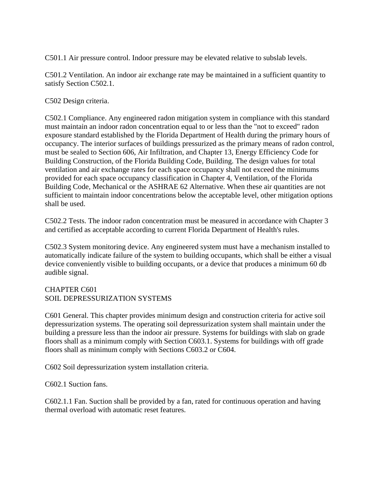C501.1 Air pressure control. Indoor pressure may be elevated relative to subslab levels.

C501.2 Ventilation. An indoor air exchange rate may be maintained in a sufficient quantity to satisfy Section C502.1.

C502 Design criteria.

C502.1 Compliance. Any engineered radon mitigation system in compliance with this standard must maintain an indoor radon concentration equal to or less than the "not to exceed" radon exposure standard established by the Florida Department of Health during the primary hours of occupancy. The interior surfaces of buildings pressurized as the primary means of radon control, must be sealed to Section 606, Air Infiltration, and Chapter 13, Energy Efficiency Code for Building Construction, of the Florida Building Code, Building. The design values for total ventilation and air exchange rates for each space occupancy shall not exceed the minimums provided for each space occupancy classification in Chapter 4, Ventilation, of the Florida Building Code, Mechanical or the ASHRAE 62 Alternative. When these air quantities are not sufficient to maintain indoor concentrations below the acceptable level, other mitigation options shall be used.

C502.2 Tests. The indoor radon concentration must be measured in accordance with Chapter 3 and certified as acceptable according to current Florida Department of Health's rules.

C502.3 System monitoring device. Any engineered system must have a mechanism installed to automatically indicate failure of the system to building occupants, which shall be either a visual device conveniently visible to building occupants, or a device that produces a minimum 60 db audible signal.

#### CHAPTER C601 SOIL DEPRESSURIZATION SYSTEMS

C601 General. This chapter provides minimum design and construction criteria for active soil depressurization systems. The operating soil depressurization system shall maintain under the building a pressure less than the indoor air pressure. Systems for buildings with slab on grade floors shall as a minimum comply with Section C603.1. Systems for buildings with off grade floors shall as minimum comply with Sections C603.2 or C604.

C602 Soil depressurization system installation criteria.

C602.1 Suction fans.

C602.1.1 Fan. Suction shall be provided by a fan, rated for continuous operation and having thermal overload with automatic reset features.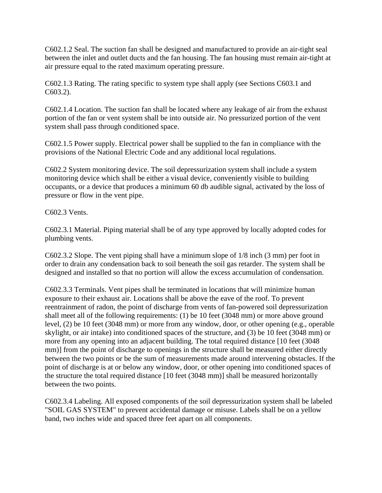C602.1.2 Seal. The suction fan shall be designed and manufactured to provide an air-tight seal between the inlet and outlet ducts and the fan housing. The fan housing must remain air-tight at air pressure equal to the rated maximum operating pressure.

C602.1.3 Rating. The rating specific to system type shall apply (see Sections C603.1 and C603.2).

C602.1.4 Location. The suction fan shall be located where any leakage of air from the exhaust portion of the fan or vent system shall be into outside air. No pressurized portion of the vent system shall pass through conditioned space.

C602.1.5 Power supply. Electrical power shall be supplied to the fan in compliance with the provisions of the National Electric Code and any additional local regulations.

C602.2 System monitoring device. The soil depressurization system shall include a system monitoring device which shall be either a visual device, conveniently visible to building occupants, or a device that produces a minimum 60 db audible signal, activated by the loss of pressure or flow in the vent pipe.

C602.3 Vents.

C602.3.1 Material. Piping material shall be of any type approved by locally adopted codes for plumbing vents.

C602.3.2 Slope. The vent piping shall have a minimum slope of 1/8 inch (3 mm) per foot in order to drain any condensation back to soil beneath the soil gas retarder. The system shall be designed and installed so that no portion will allow the excess accumulation of condensation.

C602.3.3 Terminals. Vent pipes shall be terminated in locations that will minimize human exposure to their exhaust air. Locations shall be above the eave of the roof. To prevent reentrainment of radon, the point of discharge from vents of fan-powered soil depressurization shall meet all of the following requirements: (1) be 10 feet (3048 mm) or more above ground level, (2) be 10 feet (3048 mm) or more from any window, door, or other opening (e.g., operable skylight, or air intake) into conditioned spaces of the structure, and (3) be 10 feet (3048 mm) or more from any opening into an adjacent building. The total required distance [10 feet (3048 mm)] from the point of discharge to openings in the structure shall be measured either directly between the two points or be the sum of measurements made around intervening obstacles. If the point of discharge is at or below any window, door, or other opening into conditioned spaces of the structure the total required distance [10 feet (3048 mm)] shall be measured horizontally between the two points.

C602.3.4 Labeling. All exposed components of the soil depressurization system shall be labeled "SOIL GAS SYSTEM" to prevent accidental damage or misuse. Labels shall be on a yellow band, two inches wide and spaced three feet apart on all components.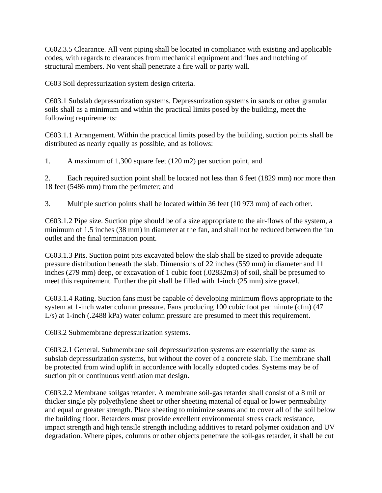C602.3.5 Clearance. All vent piping shall be located in compliance with existing and applicable codes, with regards to clearances from mechanical equipment and flues and notching of structural members. No vent shall penetrate a fire wall or party wall.

C603 Soil depressurization system design criteria.

C603.1 Subslab depressurization systems. Depressurization systems in sands or other granular soils shall as a minimum and within the practical limits posed by the building, meet the following requirements:

C603.1.1 Arrangement. Within the practical limits posed by the building, suction points shall be distributed as nearly equally as possible, and as follows:

1. A maximum of 1,300 square feet (120 m2) per suction point, and

2. Each required suction point shall be located not less than 6 feet (1829 mm) nor more than 18 feet (5486 mm) from the perimeter; and

3. Multiple suction points shall be located within 36 feet (10 973 mm) of each other.

C603.1.2 Pipe size. Suction pipe should be of a size appropriate to the air-flows of the system, a minimum of 1.5 inches (38 mm) in diameter at the fan, and shall not be reduced between the fan outlet and the final termination point.

C603.1.3 Pits. Suction point pits excavated below the slab shall be sized to provide adequate pressure distribution beneath the slab. Dimensions of 22 inches (559 mm) in diameter and 11 inches (279 mm) deep, or excavation of 1 cubic foot (.02832m3) of soil, shall be presumed to meet this requirement. Further the pit shall be filled with 1-inch (25 mm) size gravel.

C603.1.4 Rating. Suction fans must be capable of developing minimum flows appropriate to the system at 1-inch water column pressure. Fans producing 100 cubic foot per minute (cfm) (47 L/s) at 1-inch (.2488 kPa) water column pressure are presumed to meet this requirement.

C603.2 Submembrane depressurization systems.

C603.2.1 General. Submembrane soil depressurization systems are essentially the same as subslab depressurization systems, but without the cover of a concrete slab. The membrane shall be protected from wind uplift in accordance with locally adopted codes. Systems may be of suction pit or continuous ventilation mat design.

C603.2.2 Membrane soilgas retarder. A membrane soil-gas retarder shall consist of a 8 mil or thicker single ply polyethylene sheet or other sheeting material of equal or lower permeability and equal or greater strength. Place sheeting to minimize seams and to cover all of the soil below the building floor. Retarders must provide excellent environmental stress crack resistance, impact strength and high tensile strength including additives to retard polymer oxidation and UV degradation. Where pipes, columns or other objects penetrate the soil-gas retarder, it shall be cut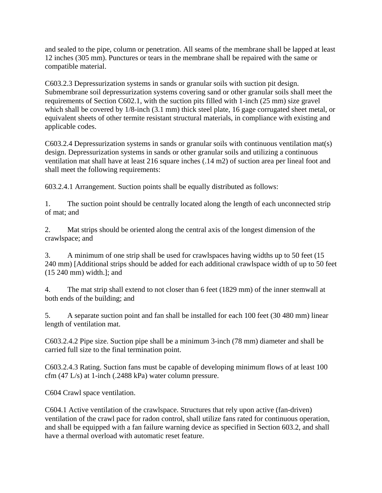and sealed to the pipe, column or penetration. All seams of the membrane shall be lapped at least 12 inches (305 mm). Punctures or tears in the membrane shall be repaired with the same or compatible material.

C603.2.3 Depressurization systems in sands or granular soils with suction pit design. Submembrane soil depressurization systems covering sand or other granular soils shall meet the requirements of Section C602.1, with the suction pits filled with 1-inch (25 mm) size gravel which shall be covered by 1/8-inch (3.1 mm) thick steel plate, 16 gage corrugated sheet metal, or equivalent sheets of other termite resistant structural materials, in compliance with existing and applicable codes.

C603.2.4 Depressurization systems in sands or granular soils with continuous ventilation mat(s) design. Depressurization systems in sands or other granular soils and utilizing a continuous ventilation mat shall have at least 216 square inches (.14 m2) of suction area per lineal foot and shall meet the following requirements:

603.2.4.1 Arrangement. Suction points shall be equally distributed as follows:

1. The suction point should be centrally located along the length of each unconnected strip of mat; and

2. Mat strips should be oriented along the central axis of the longest dimension of the crawlspace; and

3. A minimum of one strip shall be used for crawlspaces having widths up to 50 feet (15 240 mm) [Additional strips should be added for each additional crawlspace width of up to 50 feet (15 240 mm) width.]; and

4. The mat strip shall extend to not closer than 6 feet (1829 mm) of the inner stemwall at both ends of the building; and

5. A separate suction point and fan shall be installed for each 100 feet (30 480 mm) linear length of ventilation mat.

C603.2.4.2 Pipe size. Suction pipe shall be a minimum 3-inch (78 mm) diameter and shall be carried full size to the final termination point.

C603.2.4.3 Rating. Suction fans must be capable of developing minimum flows of at least 100 cfm (47 L/s) at 1-inch (.2488 kPa) water column pressure.

C604 Crawl space ventilation.

C604.1 Active ventilation of the crawlspace. Structures that rely upon active (fan-driven) ventilation of the crawl pace for radon control, shall utilize fans rated for continuous operation, and shall be equipped with a fan failure warning device as specified in Section 603.2, and shall have a thermal overload with automatic reset feature.